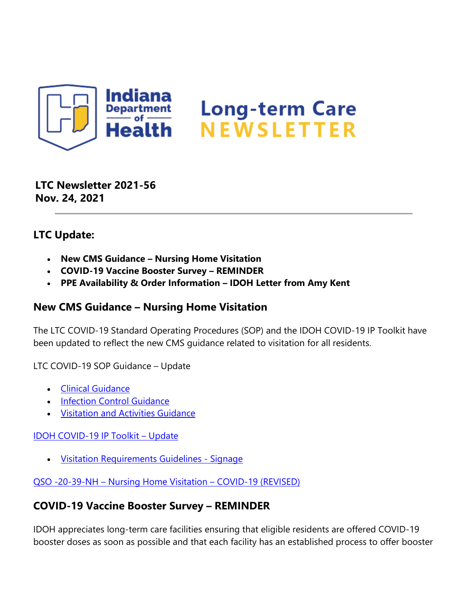

**LTC Newsletter 2021-56 Nov. 24, 2021**

## **LTC Update:**

- **New CMS Guidance Nursing Home Visitation**
- **COVID-19 Vaccine Booster Survey REMINDER**
- **PPE Availability & Order Information IDOH Letter from Amy Kent**

## **New CMS Guidance – Nursing Home Visitation**

The LTC COVID-19 Standard Operating Procedures (SOP) and the IDOH COVID-19 IP Toolkit have been updated to reflect the new CMS guidance related to visitation for all residents.

LTC COVID-19 SOP Guidance – Update

- [Clinical Guidance](https://www.coronavirus.in.gov/files/COVID-19%20LTC%20Clinical%20Guidance%2011.22.21.pdf)
- [Infection Control Guidance](https://www.coronavirus.in.gov/files/COVID%2019%20Infection%20Control%20for%20LTC%20facilities%2011.22.21.pdf)
- [Visitation and Activities Guidance](https://www.coronavirus.in.gov/files/COVID-19%20Regulatory%20Visitation%20and%20Activities%20Guidance%20for%20LTC%2011.22.21.pdf)

[IDOH COVID-19 IP Toolkit – Update](https://www.coronavirus.in.gov/files/IN_COVID-19%20IP%20Toolkit%20ISDH_11.22.21.pdf)

• [Visitation Requirements Guidelines - Signage](https://www.coronavirus.in.gov/files/21_LTC%20visitation_11-22.pdf)

[QSO -20-39-NH – Nursing Home Visitation – COVID-19 \(REVISED\)](https://www.cms.gov/files/document/qso-20-39-nh-revised.pdf)

## **COVID-19 Vaccine Booster Survey – REMINDER**

IDOH appreciates long-term care facilities ensuring that eligible residents are offered COVID-19 booster doses as soon as possible and that each facility has an established process to offer booster